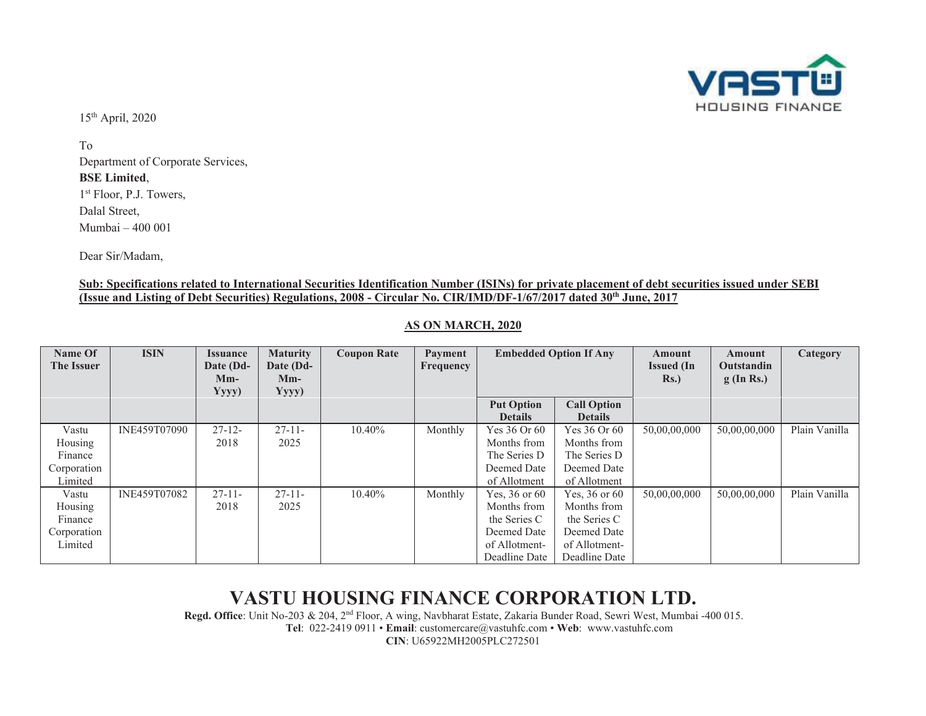

15th April, 2020

To Department of Corporate Services, **BSE Limited**, 1<sup>st</sup> Floor, P.J. Towers, Dalal Street, Mumbai – 400 001

Dear Sir/Madam,

#### **Sub: Specifications related to International Securities Identification Number (ISINs) for private placement of debt securities issued under SEBI (Issue and Listing of Debt Securities) Regulations, 2008 - Circular No. CIR/IMD/DF-1/67/2017 dated 30th June, 2017**

| Name Of           | <b>ISIN</b>  | <i><u><b>Issuance</b></u></i> | <b>Maturity</b> | <b>Coupon Rate</b> | <b>Payment</b> | <b>Embedded Option If Any</b> |                    | Amount            | Amount            | Category      |
|-------------------|--------------|-------------------------------|-----------------|--------------------|----------------|-------------------------------|--------------------|-------------------|-------------------|---------------|
| <b>The Issuer</b> |              | Date (Dd-                     | Date (Dd-       |                    | Frequency      |                               |                    | <b>Issued</b> (In | <b>Outstandin</b> |               |
|                   |              | $Mm-$                         | $Mm-$           |                    |                |                               |                    | Rs.               | $g$ (In Rs.)      |               |
|                   |              | Yyyy)                         | Yyyy)           |                    |                |                               |                    |                   |                   |               |
|                   |              |                               |                 |                    |                | <b>Put Option</b>             | <b>Call Option</b> |                   |                   |               |
|                   |              |                               |                 |                    |                | <b>Details</b>                | <b>Details</b>     |                   |                   |               |
| Vastu             | INE459T07090 | $27 - 12$                     | $27 - 11$       | $10.40\%$          | Monthly        | Yes 36 Or 60                  | Yes $36$ Or $60$   | 50,00,00,000      | 50,00,00,000      | Plain Vanilla |
| Housing           |              | 2018                          | 2025            |                    |                | Months from                   | Months from        |                   |                   |               |
| Finance           |              |                               |                 |                    |                | The Series D                  | The Series D       |                   |                   |               |
| Corporation       |              |                               |                 |                    |                | Deemed Date                   | Deemed Date        |                   |                   |               |
| Limited           |              |                               |                 |                    |                | of Allotment                  | of Allotment       |                   |                   |               |
| Vastu             | INE459T07082 | $27 - 11$                     | $27 - 11$       | 10.40%             | Monthly        | Yes, 36 or 60                 | Yes, $36$ or $60$  | 50,00,00,000      | 50,00,00,000      | Plain Vanilla |
| Housing           |              | 2018                          | 2025            |                    |                | Months from                   | Months from        |                   |                   |               |
| Finance           |              |                               |                 |                    |                | the Series C                  | the Series C       |                   |                   |               |
| Corporation       |              |                               |                 |                    |                | Deemed Date                   | Deemed Date        |                   |                   |               |
| Limited           |              |                               |                 |                    |                | of Allotment-                 | of Allotment-      |                   |                   |               |
|                   |              |                               |                 |                    |                | Deadline Date                 | Deadline Date      |                   |                   |               |

### **AS ON MARCH, 2020**

## **VASTU HOUSING FINANCE CORPORATION LTD.**

**Regd. Office**: Unit No-203 & 204, 2nd Floor, A wing, Navbharat Estate, Zakaria Bunder Road, Sewri West, Mumbai -400 015. **Tel**: 022-2419 0911 • **Email**: customercare@vastuhfc.com • **Web**: www.vastuhfc.com

**CIN**: U65922MH2005PLC272501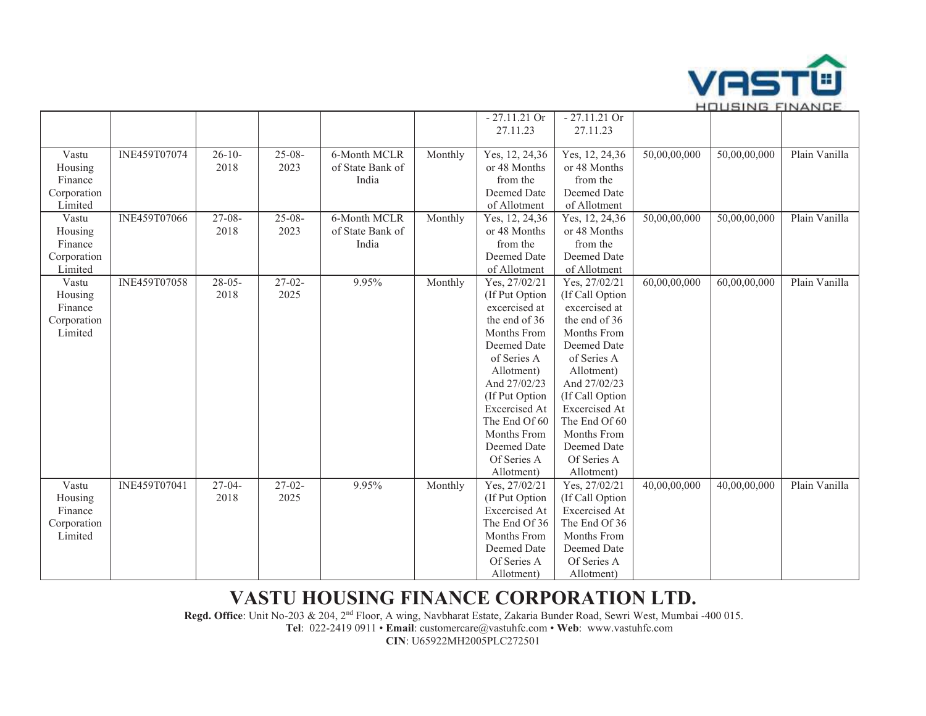

|             |                     |             |             |                  |         | $-27.11.21$ Or       | $-27.11.21$ Or       |              |              |               |
|-------------|---------------------|-------------|-------------|------------------|---------|----------------------|----------------------|--------------|--------------|---------------|
|             |                     |             |             |                  |         | 27.11.23             | 27.11.23             |              |              |               |
|             |                     |             |             |                  |         |                      |                      |              |              |               |
| Vastu       | INE459T07074        | $26-10-$    | $25 - 08 -$ | 6-Month MCLR     | Monthly | Yes, 12, 24,36       | Yes, 12, 24,36       | 50,00,00,000 | 50,00,00,000 | Plain Vanilla |
| Housing     |                     | 2018        | 2023        | of State Bank of |         | or 48 Months         | or 48 Months         |              |              |               |
| Finance     |                     |             |             | India            |         | from the             | from the             |              |              |               |
| Corporation |                     |             |             |                  |         | Deemed Date          | Deemed Date          |              |              |               |
| Limited     |                     |             |             |                  |         | of Allotment         | of Allotment         |              |              |               |
| Vastu       | INE459T07066        | $27 - 08 -$ | $25 - 08 -$ | 6-Month MCLR     | Monthly | Yes, 12, 24,36       | Yes, 12, 24,36       | 50,00,00,000 | 50,00,00,000 | Plain Vanilla |
| Housing     |                     | 2018        | 2023        | of State Bank of |         | or 48 Months         | or 48 Months         |              |              |               |
| Finance     |                     |             |             | India            |         | from the             | from the             |              |              |               |
| Corporation |                     |             |             |                  |         | Deemed Date          | Deemed Date          |              |              |               |
| Limited     |                     |             |             |                  |         | of Allotment         | of Allotment         |              |              |               |
| Vastu       | <b>INE459T07058</b> | $28-05-$    | $27-02-$    | 9.95%            | Monthly | Yes, 27/02/21        | Yes, 27/02/21        | 60,00,00,000 | 60,00,00,000 | Plain Vanilla |
| Housing     |                     | 2018        | 2025        |                  |         | (If Put Option       | (If Call Option      |              |              |               |
| Finance     |                     |             |             |                  |         | excercised at        | excercised at        |              |              |               |
| Corporation |                     |             |             |                  |         | the end of 36        | the end of 36        |              |              |               |
| Limited     |                     |             |             |                  |         | Months From          | <b>Months From</b>   |              |              |               |
|             |                     |             |             |                  |         | Deemed Date          | Deemed Date          |              |              |               |
|             |                     |             |             |                  |         | of Series A          | of Series A          |              |              |               |
|             |                     |             |             |                  |         | Allotment)           | Allotment)           |              |              |               |
|             |                     |             |             |                  |         | And 27/02/23         | And 27/02/23         |              |              |               |
|             |                     |             |             |                  |         | (If Put Option       | (If Call Option      |              |              |               |
|             |                     |             |             |                  |         | <b>Excercised At</b> | <b>Excercised</b> At |              |              |               |
|             |                     |             |             |                  |         | The End Of 60        | The End Of 60        |              |              |               |
|             |                     |             |             |                  |         | Months From          | Months From          |              |              |               |
|             |                     |             |             |                  |         | Deemed Date          | Deemed Date          |              |              |               |
|             |                     |             |             |                  |         | Of Series A          | Of Series A          |              |              |               |
|             |                     |             |             |                  |         | Allotment)           | Allotment)           |              |              |               |
| Vastu       | INE459T07041        | $27-04-$    | $27-02-$    | 9.95%            | Monthly | Yes, 27/02/21        | Yes, 27/02/21        | 40,00,00,000 | 40,00,00,000 | Plain Vanilla |
| Housing     |                     | 2018        | 2025        |                  |         | (If Put Option       | (If Call Option      |              |              |               |
| Finance     |                     |             |             |                  |         | <b>Excercised</b> At | Excercised At        |              |              |               |
| Corporation |                     |             |             |                  |         | The End Of 36        | The End Of 36        |              |              |               |
| Limited     |                     |             |             |                  |         | Months From          | Months From          |              |              |               |
|             |                     |             |             |                  |         | Deemed Date          | Deemed Date          |              |              |               |
|             |                     |             |             |                  |         | Of Series A          | Of Series A          |              |              |               |
|             |                     |             |             |                  |         | Allotment)           | Allotment)           |              |              |               |

## **VASTU HOUSING FINANCE CORPORATION LTD.**

**Regd. Office**: Unit No-203 & 204, 2nd Floor, A wing, Navbharat Estate, Zakaria Bunder Road, Sewri West, Mumbai -400 015.

**Tel**: 022-2419 0911 • **Email**: customercare@vastuhfc.com • **Web**: www.vastuhfc.com

**CIN**: U65922MH2005PLC272501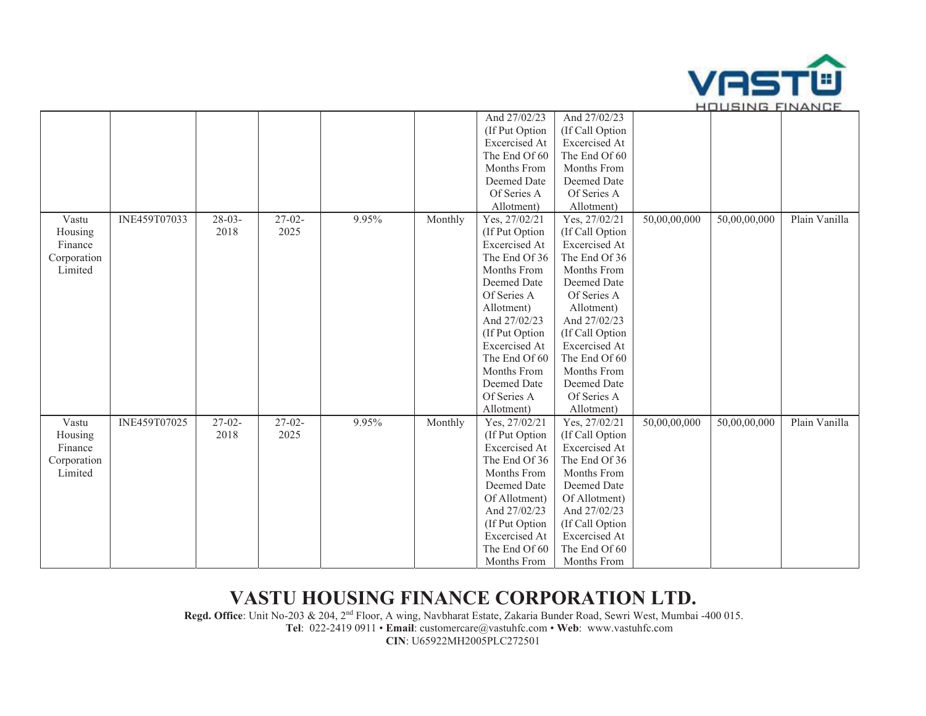

|             |              |             |          |       |         | And 27/02/23         | And 27/02/23    |              |              |               |
|-------------|--------------|-------------|----------|-------|---------|----------------------|-----------------|--------------|--------------|---------------|
|             |              |             |          |       |         | (If Put Option       | (If Call Option |              |              |               |
|             |              |             |          |       |         | Excercised At        | Excercised At   |              |              |               |
|             |              |             |          |       |         | The End Of 60        | The End Of 60   |              |              |               |
|             |              |             |          |       |         | Months From          | Months From     |              |              |               |
|             |              |             |          |       |         | Deemed Date          | Deemed Date     |              |              |               |
|             |              |             |          |       |         | Of Series A          | Of Series A     |              |              |               |
|             |              |             |          |       |         | Allotment)           | Allotment)      |              |              |               |
| Vastu       | INE459T07033 | $28 - 03 -$ | $27-02-$ | 9.95% | Monthly | Yes, 27/02/21        | Yes, 27/02/21   | 50,00,00,000 | 50,00,00,000 | Plain Vanilla |
| Housing     |              | 2018        | 2025     |       |         | (If Put Option       | (If Call Option |              |              |               |
| Finance     |              |             |          |       |         | Excercised At        | Excercised At   |              |              |               |
| Corporation |              |             |          |       |         | The End Of 36        | The End Of 36   |              |              |               |
| Limited     |              |             |          |       |         | Months From          | Months From     |              |              |               |
|             |              |             |          |       |         | Deemed Date          | Deemed Date     |              |              |               |
|             |              |             |          |       |         | Of Series A          | Of Series A     |              |              |               |
|             |              |             |          |       |         | Allotment)           | Allotment)      |              |              |               |
|             |              |             |          |       |         | And 27/02/23         | And 27/02/23    |              |              |               |
|             |              |             |          |       |         | (If Put Option       | (If Call Option |              |              |               |
|             |              |             |          |       |         | <b>Excercised At</b> | Excercised At   |              |              |               |
|             |              |             |          |       |         | The End Of 60        | The End Of 60   |              |              |               |
|             |              |             |          |       |         | Months From          | Months From     |              |              |               |
|             |              |             |          |       |         | Deemed Date          | Deemed Date     |              |              |               |
|             |              |             |          |       |         | Of Series A          | Of Series A     |              |              |               |
|             |              |             |          |       |         | Allotment)           | Allotment)      |              |              |               |
| Vastu       | INE459T07025 | $27 - 02 -$ | $27-02-$ | 9.95% | Monthly | Yes, 27/02/21        | Yes, 27/02/21   | 50,00,00,000 | 50,00,00,000 | Plain Vanilla |
| Housing     |              | 2018        | 2025     |       |         | (If Put Option       | (If Call Option |              |              |               |
| Finance     |              |             |          |       |         | Excercised At        | Excercised At   |              |              |               |
| Corporation |              |             |          |       |         | The End Of 36        | The End Of 36   |              |              |               |
| Limited     |              |             |          |       |         | Months From          | Months From     |              |              |               |
|             |              |             |          |       |         | Deemed Date          | Deemed Date     |              |              |               |
|             |              |             |          |       |         | Of Allotment)        | Of Allotment)   |              |              |               |
|             |              |             |          |       |         | And 27/02/23         | And 27/02/23    |              |              |               |
|             |              |             |          |       |         | (If Put Option       | (If Call Option |              |              |               |
|             |              |             |          |       |         | Excercised At        | Excercised At   |              |              |               |
|             |              |             |          |       |         | The End Of 60        | The End Of 60   |              |              |               |
|             |              |             |          |       |         | Months From          | Months From     |              |              |               |

# **VASTU HOUSING FINANCE CORPORATION LTD.**

**Regd. Office**: Unit No-203 & 204, 2nd Floor, A wing, Navbharat Estate, Zakaria Bunder Road, Sewri West, Mumbai -400 015. **Tel**: 022-2419 0911 • **Email**: customercare@vastuhfc.com • **Web**: www.vastuhfc.com

**CIN**: U65922MH2005PLC272501